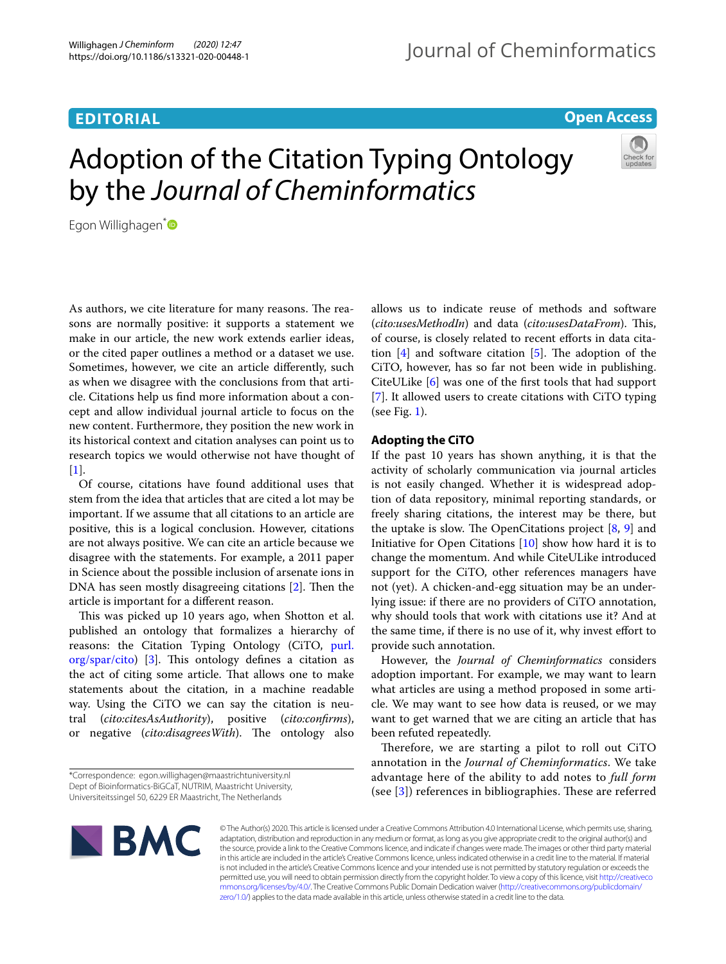# **EDITORIAL**

## **Open Access**

# Adoption of the Citation Typing Ontology by the *Journal of Cheminformatics*



Egon Willighagen<sup>[\\*](https://orcid.org/0000-0001-7542-0286)</sup>

As authors, we cite literature for many reasons. The reasons are normally positive: it supports a statement we make in our article, the new work extends earlier ideas, or the cited paper outlines a method or a dataset we use. Sometimes, however, we cite an article diferently, such as when we disagree with the conclusions from that article. Citations help us fnd more information about a concept and allow individual journal article to focus on the new content. Furthermore, they position the new work in its historical context and citation analyses can point us to research topics we would otherwise not have thought of  $\lceil 1 \rceil$ .

Of course, citations have found additional uses that stem from the idea that articles that are cited a lot may be important. If we assume that all citations to an article are positive, this is a logical conclusion. However, citations are not always positive. We can cite an article because we disagree with the statements. For example, a 2011 paper in Science about the possible inclusion of arsenate ions in DNA has seen mostly disagreeing citations  $[2]$  $[2]$ . Then the article is important for a diferent reason.

This was picked up 10 years ago, when Shotton et al. published an ontology that formalizes a hierarchy of reasons: the Citation Typing Ontology (CiTO, [purl.](http://purl.org/spar/cito)  $org/spar/cito)$  $org/spar/cito)$  [[3\]](#page-2-2). This ontology defines a citation as the act of citing some article. That allows one to make statements about the citation, in a machine readable way. Using the CiTO we can say the citation is neutral (*cito:citesAsAuthority*), positive (*cito:confrms*), or negative (*cito:disagreesWith*). The ontology also allows us to indicate reuse of methods and software (*cito:usesMethodIn*) and data (*cito:usesDataFrom*). This, of course, is closely related to recent efforts in data citation  $[4]$  $[4]$  and software citation  $[5]$  $[5]$ . The adoption of the CiTO, however, has so far not been wide in publishing. CiteULike [[6\]](#page-2-5) was one of the frst tools that had support [[7\]](#page-2-6). It allowed users to create citations with CiTO typing (see Fig. [1](#page-1-0)).

## **Adopting the CiTO**

If the past 10 years has shown anything, it is that the activity of scholarly communication via journal articles is not easily changed. Whether it is widespread adoption of data repository, minimal reporting standards, or freely sharing citations, the interest may be there, but the uptake is slow. The OpenCitations project  $[8, 9]$  $[8, 9]$  $[8, 9]$  $[8, 9]$  $[8, 9]$  and Initiative for Open Citations [[10\]](#page-2-9) show how hard it is to change the momentum. And while CiteULike introduced support for the CiTO, other references managers have not (yet). A chicken-and-egg situation may be an underlying issue: if there are no providers of CiTO annotation, why should tools that work with citations use it? And at the same time, if there is no use of it, why invest efort to provide such annotation.

However, the *Journal of Cheminformatics* considers adoption important. For example, we may want to learn what articles are using a method proposed in some article. We may want to see how data is reused, or we may want to get warned that we are citing an article that has been refuted repeatedly.

Therefore, we are starting a pilot to roll out CiTO annotation in the *Journal of Cheminformatics*. We take advantage here of the ability to add notes to *full form* (see  $[3]$  $[3]$ ) references in bibliographies. These are referred



© The Author(s) 2020. This article is licensed under a Creative Commons Attribution 4.0 International License, which permits use, sharing, adaptation, distribution and reproduction in any medium or format, as long as you give appropriate credit to the original author(s) and the source, provide a link to the Creative Commons licence, and indicate if changes were made. The images or other third party material in this article are included in the article's Creative Commons licence, unless indicated otherwise in a credit line to the material. If material is not included in the article's Creative Commons licence and your intended use is not permitted by statutory regulation or exceeds the permitted use, you will need to obtain permission directly from the copyright holder. To view a copy of this licence, visit [http://creativeco](http://creativecommons.org/licenses/by/4.0/) [mmons.org/licenses/by/4.0/.](http://creativecommons.org/licenses/by/4.0/) The Creative Commons Public Domain Dedication waiver ([http://creativecommons.org/publicdomain/](http://creativecommons.org/publicdomain/zero/1.0/) [zero/1.0/\)](http://creativecommons.org/publicdomain/zero/1.0/) applies to the data made available in this article, unless otherwise stated in a credit line to the data.

<sup>\*</sup>Correspondence: egon.willighagen@maastrichtuniversity.nl Dept of Bioinformatics‑BiGCaT, NUTRIM, Maastricht University, Universiteitssingel 50, 6229 ER Maastricht, The Netherlands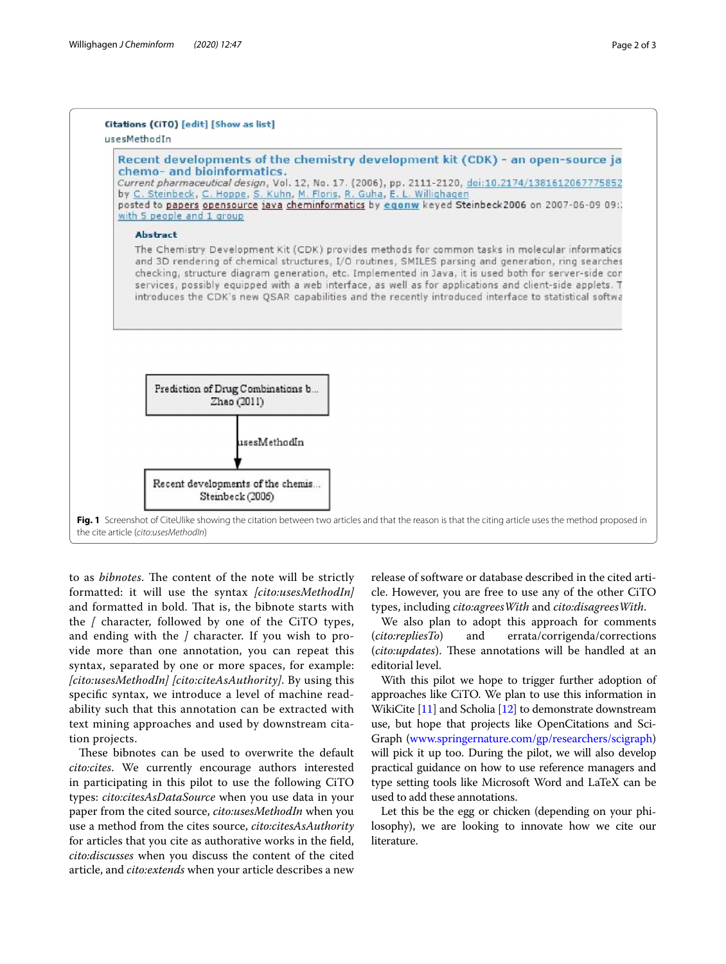

<span id="page-1-0"></span>to as *bibnotes*. The content of the note will be strictly formatted: it will use the syntax *[cito:usesMethodIn]* and formatted in bold. That is, the bibnote starts with the *[* character, followed by one of the CiTO types, and ending with the *]* character. If you wish to provide more than one annotation, you can repeat this syntax, separated by one or more spaces, for example: *[cito:usesMethodIn] [cito:citeAsAuthority]*. By using this specifc syntax, we introduce a level of machine readability such that this annotation can be extracted with text mining approaches and used by downstream citation projects.

These bibnotes can be used to overwrite the default *cito:cites*. We currently encourage authors interested in participating in this pilot to use the following CiTO types: *cito:citesAsDataSource* when you use data in your paper from the cited source, *cito:usesMethodIn* when you use a method from the cites source, *cito:citesAsAuthority* for articles that you cite as authorative works in the feld, *cito:discusses* when you discuss the content of the cited article, and *cito:extends* when your article describes a new

release of software or database described in the cited article. However, you are free to use any of the other CiTO types, including *cito:agreesWith* and *cito:disagreesWith*.

We also plan to adopt this approach for comments (*cito:repliesTo*) and errata/corrigenda/corrections (*cito:updates*). These annotations will be handled at an editorial level.

With this pilot we hope to trigger further adoption of approaches like CiTO. We plan to use this information in WikiCite [[11](#page-2-10)] and Scholia [[12](#page-2-11)] to demonstrate downstream use, but hope that projects like OpenCitations and Sci-Graph [\(www.springernature.com/gp/researchers/scigraph](http://www.springernature.com/gp/researchers/scigraph)) will pick it up too. During the pilot, we will also develop practical guidance on how to use reference managers and type setting tools like Microsoft Word and LaTeX can be used to add these annotations.

Let this be the egg or chicken (depending on your philosophy), we are looking to innovate how we cite our literature.